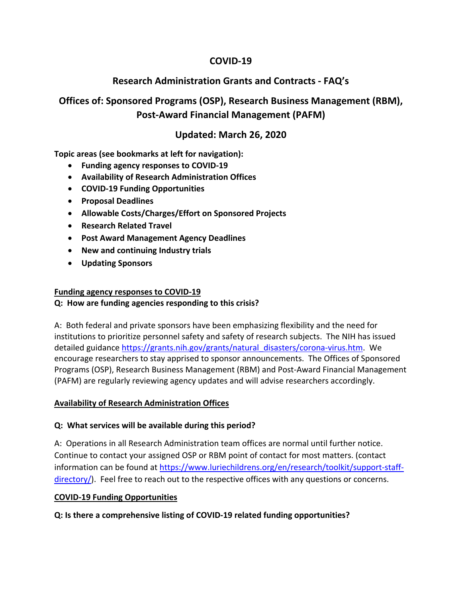## **COVID‐19**

## **Research Administration Grants and Contracts ‐ FAQ's**

# **Offices of: Sponsored Programs (OSP), Research Business Management (RBM), Post‐Award Financial Management (PAFM)**

## **Updated: March 26, 2020**

**Topic areas (see bookmarks at left for navigation):**

- **Funding agency responses to COVID‐19**
- **Availability of Research Administration Offices**
- **COVID‐19 Funding Opportunities**
- **Proposal Deadlines**
- **Allowable Costs/Charges/Effort on Sponsored Projects**
- **Research Related Travel**
- **Post Award Management Agency Deadlines**
- **New and continuing Industry trials**
- **Updating Sponsors**

#### **Funding agency responses to COVID‐19**

#### **Q: How are funding agencies responding to this crisis?**

A: Both federal and private sponsors have been emphasizing flexibility and the need for institutions to prioritize personnel safety and safety of research subjects. The NIH has issued detailed guidance https://grants.nih.gov/grants/natural\_disasters/corona-virus.htm. We encourage researchers to stay apprised to sponsor announcements. The Offices of Sponsored Programs (OSP), Research Business Management (RBM) and Post‐Award Financial Management (PAFM) are regularly reviewing agency updates and will advise researchers accordingly.

#### **Availability of Research Administration Offices**

#### **Q: What services will be available during this period?**

A: Operations in all Research Administration team offices are normal until further notice. Continue to contact your assigned OSP or RBM point of contact for most matters. (contact information can be found at https://www.luriechildrens.org/en/research/toolkit/support-staffdirectory/). Feel free to reach out to the respective offices with any questions or concerns.

#### **COVID‐19 Funding Opportunities**

**Q: Is there a comprehensive listing of COVID‐19 related funding opportunities?**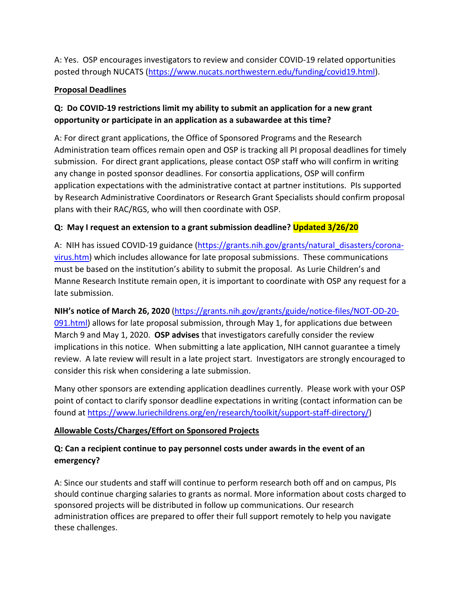A: Yes. OSP encourages investigators to review and consider COVID‐19 related opportunities posted through NUCATS (https://www.nucats.northwestern.edu/funding/covid19.html).

#### **Proposal Deadlines**

## **Q: Do COVID‐19 restrictions limit my ability to submit an application for a new grant opportunity or participate in an application as a subawardee at this time?**

A: For direct grant applications, the Office of Sponsored Programs and the Research Administration team offices remain open and OSP is tracking all PI proposal deadlines for timely submission. For direct grant applications, please contact OSP staff who will confirm in writing any change in posted sponsor deadlines. For consortia applications, OSP will confirm application expectations with the administrative contact at partner institutions. PIs supported by Research Administrative Coordinators or Research Grant Specialists should confirm proposal plans with their RAC/RGS, who will then coordinate with OSP.

## **Q: May I request an extension to a grant submission deadline? Updated 3/26/20**

A: NIH has issued COVID-19 guidance (https://grants.nih.gov/grants/natural\_disasters/coronavirus.htm) which includes allowance for late proposal submissions. These communications must be based on the institution's ability to submit the proposal. As Lurie Children's and Manne Research Institute remain open, it is important to coordinate with OSP any request for a late submission.

#### **NIH's notice of March 26, 2020** (https://grants.nih.gov/grants/guide/notice‐files/NOT‐OD‐20‐

091.html) allows for late proposal submission, through May 1, for applications due between March 9 and May 1, 2020. **OSP advises** that investigators carefully consider the review implications in this notice. When submitting a late application, NIH cannot guarantee a timely review. A late review will result in a late project start. Investigators are strongly encouraged to consider this risk when considering a late submission.

Many other sponsors are extending application deadlines currently. Please work with your OSP point of contact to clarify sponsor deadline expectations in writing (contact information can be found at https://www.luriechildrens.org/en/research/toolkit/support‐staff‐directory/)

#### **Allowable Costs/Charges/Effort on Sponsored Projects**

## **Q: Can a recipient continue to pay personnel costs under awards in the event of an emergency?**

A: Since our students and staff will continue to perform research both off and on campus, PIs should continue charging salaries to grants as normal. More information about costs charged to sponsored projects will be distributed in follow up communications. Our research administration offices are prepared to offer their full support remotely to help you navigate these challenges.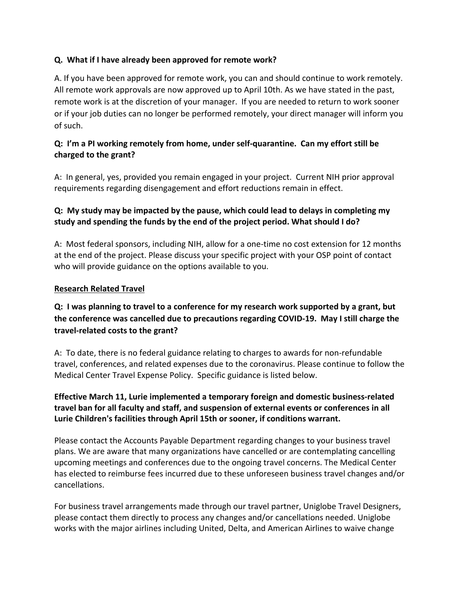#### **Q. What if I have already been approved for remote work?**

A. If you have been approved for remote work, you can and should continue to work remotely. All remote work approvals are now approved up to April 10th. As we have stated in the past, remote work is at the discretion of your manager. If you are needed to return to work sooner or if your job duties can no longer be performed remotely, your direct manager will inform you of such.

## **Q: I'm a PI working remotely from home, under self‐quarantine. Can my effort still be charged to the grant?**

A: In general, yes, provided you remain engaged in your project. Current NIH prior approval requirements regarding disengagement and effort reductions remain in effect.

## **Q: My study may be impacted by the pause, which could lead to delays in completing my study and spending the funds by the end of the project period. What should I do?**

A:Most federal sponsors, including NIH, allow for a one‐time no cost extension for 12 months at the end of the project. Please discuss your specific project with your OSP point of contact who will provide guidance on the options available to you.

#### **Research Related Travel**

## **Q: I was planning to travel to a conference for my research work supported by a grant, but the conference was cancelled due to precautions regarding COVID‐19. May I still charge the travel‐related costs to the grant?**

A: To date, there is no federal guidance relating to charges to awards for non‐refundable travel, conferences, and related expenses due to the coronavirus. Please continue to follow the Medical Center Travel Expense Policy. Specific guidance is listed below.

## **Effective March 11, Lurie implemented a temporary foreign and domestic business‐related travel ban for all faculty and staff, and suspension of external events or conferences in all Lurie Children's facilities through April 15th or sooner, if conditions warrant.**

Please contact the Accounts Payable Department regarding changes to your business travel plans. We are aware that many organizations have cancelled or are contemplating cancelling upcoming meetings and conferences due to the ongoing travel concerns. The Medical Center has elected to reimburse fees incurred due to these unforeseen business travel changes and/or cancellations.

For business travel arrangements made through our travel partner, Uniglobe Travel Designers, please contact them directly to process any changes and/or cancellations needed. Uniglobe works with the major airlines including United, Delta, and American Airlines to waive change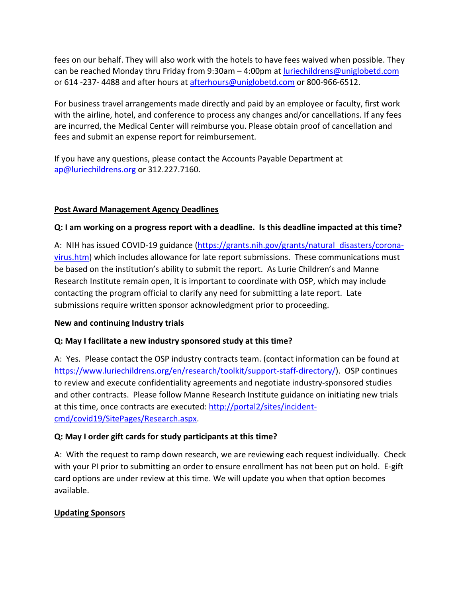fees on our behalf. They will also work with the hotels to have fees waived when possible. They can be reached Monday thru Friday from 9:30am – 4:00pm at luriechildrens@uniglobetd.com or 614 ‐237‐ 4488 and after hours at afterhours@uniglobetd.com or 800‐966‐6512.

For business travel arrangements made directly and paid by an employee or faculty, first work with the airline, hotel, and conference to process any changes and/or cancellations. If any fees are incurred, the Medical Center will reimburse you. Please obtain proof of cancellation and fees and submit an expense report for reimbursement.

If you have any questions, please contact the Accounts Payable Department at ap@luriechildrens.org or 312.227.7160.

#### **Post Award Management Agency Deadlines**

#### Q: I am working on a progress report with a deadline. Is this deadline impacted at this time?

A: NIH has issued COVID-19 guidance (https://grants.nih.gov/grants/natural\_disasters/coronavirus.htm) which includes allowance for late report submissions. These communications must be based on the institution's ability to submit the report. As Lurie Children's and Manne Research Institute remain open, it is important to coordinate with OSP, which may include contacting the program official to clarify any need for submitting a late report. Late submissions require written sponsor acknowledgment prior to proceeding.

#### **New and continuing Industry trials**

#### **Q: May I facilitate a new industry sponsored study at this time?**

A: Yes. Please contact the OSP industry contracts team. (contact information can be found at https://www.luriechildrens.org/en/research/toolkit/support-staff-directory/). OSP continues to review and execute confidentiality agreements and negotiate industry‐sponsored studies and other contracts. Please follow Manne Research Institute guidance on initiating new trials at this time, once contracts are executed: http://portal2/sites/incident‐ cmd/covid19/SitePages/Research.aspx.

## **Q: May I order gift cards for study participants at this time?**

A: With the request to ramp down research, we are reviewing each request individually. Check with your PI prior to submitting an order to ensure enrollment has not been put on hold. E-gift card options are under review at this time. We will update you when that option becomes available.

## **Updating Sponsors**